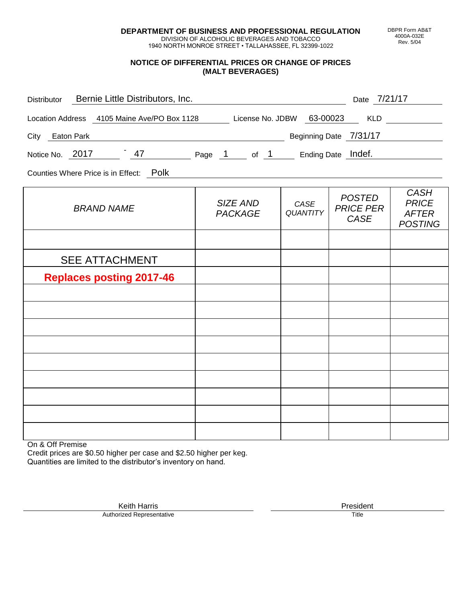**DEPARTMENT OF BUSINESS AND PROFESSIONAL REGULATION** DIVISION OF ALCOHOLIC BEVERAGES AND TOBACCO

1940 NORTH MONROE STREET • TALLAHASSEE, FL 32399-1022

### **NOTICE OF DIFFERENTIAL PRICES OR CHANGE OF PRICES (MALT BEVERAGES)**

| Distributor Bernie Little Distributors, Inc.                              |                                   |                         | Date 7/21/17                              |                                                               |
|---------------------------------------------------------------------------|-----------------------------------|-------------------------|-------------------------------------------|---------------------------------------------------------------|
| Location Address 4105 Maine Ave/PO Box 1128 License No. JDBW 63-00023 KLD |                                   |                         |                                           |                                                               |
| City Eaton Park                                                           | Beginning Date 7/31/17            |                         |                                           |                                                               |
| Notice No. 2017 47 Page 1 of 1 Ending Date Indef.                         |                                   |                         |                                           |                                                               |
| Counties Where Price is in Effect: Polk                                   |                                   |                         |                                           |                                                               |
| <b>BRAND NAME</b>                                                         | <b>SIZE AND</b><br><b>PACKAGE</b> | CASE<br><b>QUANTITY</b> | <b>POSTED</b><br><b>PRICE PER</b><br>CASE | <b>CASH</b><br><b>PRICE</b><br><b>AFTER</b><br><b>POSTING</b> |
|                                                                           |                                   |                         |                                           |                                                               |
| <b>SEE ATTACHMENT</b>                                                     |                                   |                         |                                           |                                                               |
| <b>Replaces posting 2017-46</b>                                           |                                   |                         |                                           |                                                               |
|                                                                           |                                   |                         |                                           |                                                               |
|                                                                           |                                   |                         |                                           |                                                               |
|                                                                           |                                   |                         |                                           |                                                               |
|                                                                           |                                   |                         |                                           |                                                               |
|                                                                           |                                   |                         |                                           |                                                               |
|                                                                           |                                   |                         |                                           |                                                               |
|                                                                           |                                   |                         |                                           |                                                               |
|                                                                           |                                   |                         |                                           |                                                               |

On & Off Premise

Credit prices are \$0.50 higher per case and \$2.50 higher per keg. Quantities are limited to the distributor's inventory on hand.

Keith Harris **President** President **President** President President **President** President **President** Authorized Representative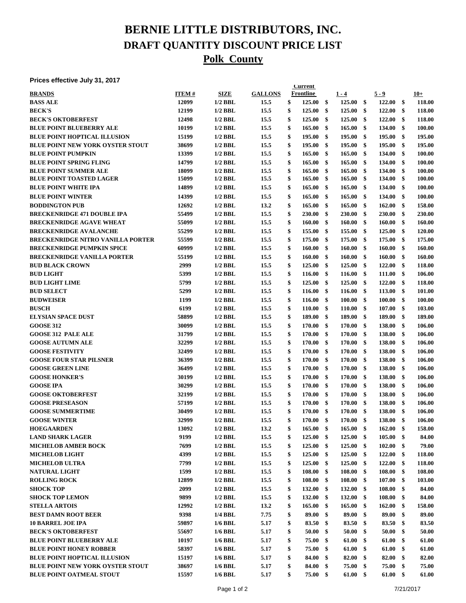# **BERNIE LITTLE DISTRIBUTORS, INC. DRAFT QUANTITY DISCOUNT PRICE LIST Polk County**

#### **Prices effective July 31, 2017**

| , ,,,,,,,,,,,,,,,,,,,,,                  |              |             |                | <b>Current</b>         |               |                  |              |              |
|------------------------------------------|--------------|-------------|----------------|------------------------|---------------|------------------|--------------|--------------|
| <b>BRANDS</b>                            | <b>ITEM#</b> | <b>SIZE</b> | <b>GALLONS</b> | <b>Frontline</b>       |               | $1 - 4$          | $5 - 9$      | $10+$        |
| <b>BASS ALE</b>                          | 12099        | $1/2$ BBL   | 15.5           | \$<br>125.00           | $\mathbf{\$}$ | 125.00           | \$<br>122.00 | \$<br>118.00 |
| <b>BECK'S</b>                            | 12199        | $1/2$ BBL   | 15.5           | \$<br>125.00           | \$            | 125.00           | \$<br>122.00 | \$<br>118.00 |
| <b>BECK'S OKTOBERFEST</b>                | 12498        | $1/2$ BBL   | 15.5           | \$<br>125.00           | \$            | 125.00           | \$<br>122.00 | \$<br>118.00 |
| <b>BLUE POINT BLUEBERRY ALE</b>          | 10199        | $1/2$ BBL   | 15.5           | \$<br>165.00           | \$            | 165.00           | \$<br>134.00 | \$<br>100.00 |
| <b>BLUE POINT HOPTICAL ILLUSION</b>      | 15199        | $1/2$ BBL   | 15.5           | \$<br>195.00           | \$            | 195.00           | \$<br>195.00 | \$<br>195.00 |
| <b>BLUE POINT NEW YORK OYSTER STOUT</b>  | 38699        | $1/2$ BBL   | 15.5           | \$<br>195.00           | \$            | 195.00           | \$<br>195.00 | \$<br>195.00 |
| <b>BLUE POINT PUMPKIN</b>                | 13399        | $1/2$ BBL   | 15.5           | \$<br>165.00           | \$            | 165.00           | \$<br>134.00 | \$<br>100.00 |
| <b>BLUE POINT SPRING FLING</b>           | 14799        | $1/2$ BBL   | 15.5           | \$<br>165.00           | \$            | 165.00           | \$<br>134.00 | \$<br>100.00 |
| <b>BLUE POINT SUMMER ALE</b>             | 18099        | $1/2$ BBL   | 15.5           | \$<br>165.00           | \$            | 165.00           | \$<br>134.00 | \$<br>100.00 |
| <b>BLUE POINT TOASTED LAGER</b>          | 15099        | $1/2$ BBL   | 15.5           | \$<br>165.00           | \$            | 165.00           | \$<br>134.00 | \$<br>100.00 |
| <b>BLUE POINT WHITE IPA</b>              | 14899        | $1/2$ BBL   | 15.5           | \$<br>165.00           | \$            | 165.00           | \$<br>134.00 | \$<br>100.00 |
| <b>BLUE POINT WINTER</b>                 | 14399        | $1/2$ BBL   | 15.5           | \$<br>165.00           | \$            | 165.00           | \$<br>134.00 | \$<br>100.00 |
| <b>BODDINGTON PUB</b>                    | 12692        | $1/2$ BBL   | 13.2           | \$<br>165.00           | \$            | 165.00           | \$<br>162.00 | \$<br>158.00 |
|                                          |              |             |                |                        |               |                  |              |              |
| <b>BRECKENRIDGE 471 DOUBLE IPA</b>       | 55499        | $1/2$ BBL   | 15.5           | \$<br>230.00           | \$            | 230.00           | \$<br>230.00 | \$<br>230.00 |
| <b>BRECKENRIDGE AGAVE WHEAT</b>          | 55099        | $1/2$ BBL   | 15.5           | \$<br>160.00           | \$            | 160.00           | \$<br>160.00 | \$<br>160.00 |
| <b>BRECKENRIDGE AVALANCHE</b>            | 55299        | $1/2$ BBL   | 15.5           | \$<br>155.00           | \$            | 155.00           | \$<br>125.00 | \$<br>120.00 |
| <b>BRECKENRIDGE NITRO VANILLA PORTER</b> | 55599        | $1/2$ BBL   | 15.5           | \$<br>175.00           | \$            | 175.00           | \$<br>175.00 | \$<br>175.00 |
| <b>BRECKENRIDGE PUMPKIN SPICE</b>        | 60999        | $1/2$ BBL   | 15.5           | \$<br>160.00           | \$            | 160.00           | \$<br>160.00 | \$<br>160.00 |
| <b>BRECKENRIDGE VANILLA PORTER</b>       | 55199        | $1/2$ BBL   | 15.5           | \$<br>160.00           | \$            | 160.00           | \$<br>160.00 | \$<br>160.00 |
| <b>BUD BLACK CROWN</b>                   | 2999         | $1/2$ BBL   | 15.5           | \$<br>125.00           | \$            | 125.00           | \$<br>122.00 | \$<br>118.00 |
| <b>BUD LIGHT</b>                         | 5399         | $1/2$ BBL   | 15.5           | \$<br>116.00           | \$            | 116.00           | \$<br>111.00 | \$<br>106.00 |
| <b>BUD LIGHT LIME</b>                    | 5799         | $1/2$ BBL   | 15.5           | \$<br>125.00           | \$            | 125.00           | \$<br>122.00 | \$<br>118.00 |
| <b>BUD SELECT</b>                        | 5299         | $1/2$ BBL   | 15.5           | \$<br>116.00           | \$            | 116.00           | \$<br>113.00 | \$<br>101.00 |
| <b>BUDWEISER</b>                         | 1199         | $1/2$ BBL   | 15.5           | \$<br>116.00           | \$            | 100.00           | \$<br>100.00 | \$<br>100.00 |
| <b>BUSCH</b>                             | 6199         | $1/2$ BBL   | 15.5           | \$<br>110.00           | \$            | 110.00           | \$<br>107.00 | \$<br>103.00 |
| <b>ELYSIAN SPACE DUST</b>                | 58899        | $1/2$ BBL   | 15.5           | \$<br>189.00           | \$            | 189.00           | \$<br>189.00 | \$<br>189.00 |
| <b>GOOSE 312</b>                         | 30099        | $1/2$ BBL   | 15.5           | \$<br>170.00           | \$            | 170.00           | \$<br>138.00 | \$<br>106.00 |
| <b>GOOSE 312 PALE ALE</b>                | 31799        | $1/2$ BBL   | 15.5           | \$<br>170.00           | \$            | 170.00           | \$<br>138.00 | \$<br>106.00 |
| <b>GOOSE AUTUMN ALE</b>                  | 32299        | $1/2$ BBL   | 15.5           | \$<br>170.00           | \$            | 170.00           | \$<br>138.00 | \$<br>106.00 |
| <b>GOOSE FESTIVITY</b>                   | 32499        | $1/2$ BBL   | 15.5           | \$<br>170.00           | \$            | 170.00           | \$<br>138.00 | \$<br>106.00 |
| <b>GOOSE FOUR STAR PILSNER</b>           | 36399        | $1/2$ BBL   | 15.5           | \$<br>170.00           | \$            | 170.00           | \$<br>138.00 | \$<br>106.00 |
| <b>GOOSE GREEN LINE</b>                  | 36499        | $1/2$ BBL   | 15.5           | \$<br>170.00           | \$            | 170.00           | \$<br>138.00 | \$<br>106.00 |
| <b>GOOSE HONKER'S</b>                    | 30199        | $1/2$ BBL   | 15.5           | \$<br>170.00           | \$            | 170.00           | \$<br>138.00 | \$<br>106.00 |
| <b>GOOSE IPA</b>                         | 30299        | $1/2$ BBL   | 15.5           | \$<br>170.00           | \$            | 170.00           | \$<br>138.00 | \$<br>106.00 |
| <b>GOOSE OKTOBERFEST</b>                 | 32199        | $1/2$ BBL   | 15.5           | \$<br>170.00           | \$            | 170.00           | \$<br>138.00 | \$<br>106.00 |
| <b>GOOSE PRESEASON</b>                   | 57199        | $1/2$ BBL   | 15.5           | \$<br>170.00           | \$            | 170.00           | \$<br>138.00 | \$<br>106.00 |
| <b>GOOSE SUMMERTIME</b>                  | 30499        | $1/2$ BBL   | 15.5           | \$<br>170.00           | \$            | 170.00           | \$<br>138.00 | \$<br>106.00 |
| <b>GOOSE WINTER</b>                      | 32999        | $1/2$ BBL   | 15.5           | \$<br>170.00           | \$            | 170.00           | \$<br>138.00 | \$<br>106.00 |
| <b>HOEGAARDEN</b>                        | 13092        | $1/2$ BBL   | 13.2           | \$<br>$165.00\quad$ \$ |               | $165.00\quad$ \$ | 162.00       | \$<br>158.00 |
|                                          | 9199         |             |                | \$                     |               |                  | \$           | \$           |
| <b>LAND SHARK LAGER</b>                  |              | $1/2$ BBL   | 15.5           | 125.00                 | \$            | 125.00           | 105.00       | 84.00        |
| <b>MICHELOB AMBER BOCK</b>               | 7699         | $1/2$ BBL   | 15.5           | \$<br>125.00           | \$            | 125.00           | \$<br>102.00 | \$<br>79.00  |
| <b>MICHELOB LIGHT</b>                    | 4399         | $1/2$ BBL   | 15.5           | \$<br>125.00           | \$            | 125.00           | \$<br>122.00 | \$<br>118.00 |
| <b>MICHELOB ULTRA</b>                    | 7799         | $1/2$ BBL   | 15.5           | \$<br>125.00           | -\$           | 125.00           | \$<br>122.00 | \$<br>118.00 |
| <b>NATURAL LIGHT</b>                     | 1599         | $1/2$ BBL   | 15.5           | \$<br>108.00           | \$            | 108.00           | \$<br>108.00 | \$<br>108.00 |
| <b>ROLLING ROCK</b>                      | 12899        | $1/2$ BBL   | 15.5           | \$<br>108.00           | \$            | 108.00           | \$<br>107.00 | \$<br>103.00 |
| <b>SHOCK TOP</b>                         | 2099         | $1/2$ BBL   | 15.5           | \$<br>132.00           | \$            | 132.00           | \$<br>108.00 | \$<br>84.00  |
| <b>SHOCK TOP LEMON</b>                   | 9899         | $1/2$ BBL   | 15.5           | \$<br>132.00           | \$            | 132.00           | \$<br>108.00 | \$<br>84.00  |
| <b>STELLA ARTOIS</b>                     | 12992        | $1/2$ BBL   | 13.2           | \$<br>165.00           | \$            | 165.00           | \$<br>162.00 | \$<br>158.00 |
| <b>BEST DAMN ROOT BEER</b>               | 9398         | 1/4 BBL     | 7.75           | \$<br>89.00            | \$            | 89.00            | \$<br>89.00  | \$<br>89.00  |
| <b>10 BARREL JOE IPA</b>                 | 59897        | $1/6$ BBL   | 5.17           | \$<br>83.50            | \$            | 83.50            | \$<br>83.50  | \$<br>83.50  |
| <b>BECK'S OKTOBERFEST</b>                | 55697        | $1/6$ BBL   | 5.17           | \$<br>50.00            | \$            | 50.00            | \$<br>50.00  | \$<br>50.00  |
| <b>BLUE POINT BLUEBERRY ALE</b>          | 10197        | $1/6$ BBL   | 5.17           | \$<br>75.00            | \$            | 61.00            | \$<br>61.00  | \$<br>61.00  |
| <b>BLUE POINT HONEY ROBBER</b>           | 58397        | $1/6$ BBL   | 5.17           | \$<br>75.00            | \$            | 61.00            | \$<br>61.00  | \$<br>61.00  |
| <b>BLUE POINT HOPTICAL ILLUSION</b>      | 15197        | $1/6$ BBL   | 5.17           | \$<br>84.00            | \$            | 82.00            | \$<br>82.00  | \$<br>82.00  |
| <b>BLUE POINT NEW YORK OYSTER STOUT</b>  | 38697        | $1/6$ BBL   | 5.17           | \$<br>84.00            | \$            | 75.00            | \$<br>75.00  | \$<br>75.00  |
| <b>BLUE POINT OATMEAL STOUT</b>          | 15597        | $1/6$ BBL   | 5.17           | \$<br>75.00 \$         |               | 61.00            | \$<br>61.00  | \$<br>61.00  |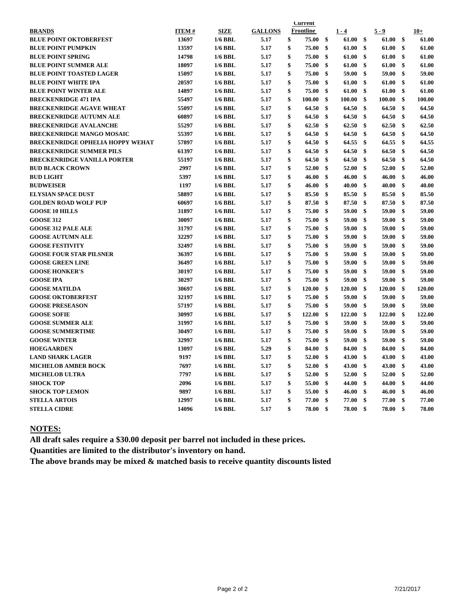|                                         | <b>Current</b> |             |                |    |           |    |               |                    |         |    |        |
|-----------------------------------------|----------------|-------------|----------------|----|-----------|----|---------------|--------------------|---------|----|--------|
| <b>BRANDS</b>                           | <b>ITEM#</b>   | <b>SIZE</b> | <b>GALLONS</b> |    | Frontline |    | $1 - 4$       |                    | $5 - 9$ |    | $10+$  |
| <b>BLUE POINT OKTOBERFEST</b>           | 13697          | $1/6$ BBL   | 5.17           | \$ | 75.00     | \$ | 61.00         | \$                 | 61.00   | \$ | 61.00  |
| <b>BLUE POINT PUMPKIN</b>               | 13597          | $1/6$ BBL   | 5.17           | \$ | 75.00     | \$ | 61.00         | \$                 | 61.00   | \$ | 61.00  |
| <b>BLUE POINT SPRING</b>                | 14798          | $1/6$ BBL   | 5.17           | \$ | 75.00     | \$ | 61.00         | \$                 | 61.00   | \$ | 61.00  |
| <b>BLUE POINT SUMMER ALE</b>            | 18097          | $1/6$ BBL   | 5.17           | \$ | 75.00     | \$ | 61.00         | \$                 | 61.00   | \$ | 61.00  |
| <b>BLUE POINT TOASTED LAGER</b>         | 15097          | $1/6$ BBL   | 5.17           | \$ | 75.00     | \$ | 59.00         | \$                 | 59.00   | \$ | 59.00  |
| <b>BLUE POINT WHITE IPA</b>             | 20597          | $1/6$ BBL   | 5.17           | \$ | 75.00     | \$ | 61.00         | \$                 | 61.00   | \$ | 61.00  |
| <b>BLUE POINT WINTER ALE</b>            | 14897          | 1/6 BBL     | 5.17           | \$ | 75.00     | \$ | 61.00         | \$                 | 61.00   | \$ | 61.00  |
| <b>BRECKENRIDGE 471 IPA</b>             | 55497          | $1/6$ BBL   | 5.17           | \$ | 100.00    | \$ | 100.00        | \$                 | 100.00  | \$ | 100.00 |
| <b>BRECKENRIDGE AGAVE WHEAT</b>         | 55097          | $1/6$ BBL   | 5.17           | \$ | 64.50     | \$ | 64.50         | \$                 | 64.50   | \$ | 64.50  |
| <b>BRECKENRIDGE AUTUMN ALE</b>          | 60897          | $1/6$ BBL   | 5.17           | \$ | 64.50     | \$ | 64.50         | \$                 | 64.50   | \$ | 64.50  |
| <b>BRECKENRIDGE AVALANCHE</b>           | 55297          | $1/6$ BBL   | 5.17           | \$ | 62.50     | \$ | 62.50         | \$                 | 62.50   | \$ | 62.50  |
| <b>BRECKENRIDGE MANGO MOSAIC</b>        | 55397          | $1/6$ BBL   | 5.17           | \$ | 64.50     | \$ | 64.50         | $\mathbf{\hat{s}}$ | 64.50   | \$ | 64.50  |
| <b>BRECKENRIDGE OPHELIA HOPPY WEHAT</b> | 57897          | $1/6$ BBL   | 5.17           | \$ | 64.50     | \$ | 64.55         | \$                 | 64.55   | \$ | 64.55  |
| <b>BRECKENRIDGE SUMMER PILS</b>         | 61397          | $1/6$ BBL   | 5.17           | \$ | 64.50     | \$ | 64.50         | \$                 | 64.50   | \$ | 64.50  |
| <b>BRECKENRIDGE VANILLA PORTER</b>      | 55197          | $1/6$ BBL   | 5.17           | \$ | 64.50     | \$ | 64.50         | \$                 | 64.50   | \$ | 64.50  |
| <b>BUD BLACK CROWN</b>                  | 2997           | $1/6$ BBL   | 5.17           | \$ | 52.00     | \$ | 52.00         | \$                 | 52.00   | \$ | 52.00  |
| <b>BUD LIGHT</b>                        | 5397           | $1/6$ BBL   | 5.17           | \$ | 46.00     | \$ | 46.00         | \$                 | 46.00   | \$ | 46.00  |
| <b>BUDWEISER</b>                        | 1197           | $1/6$ BBL   | 5.17           | \$ | 46.00     | \$ | 40.00         | \$                 | 40.00   | \$ | 40.00  |
| <b>ELYSIAN SPACE DUST</b>               | 58897          | $1/6$ BBL   | 5.17           | \$ | 85.50     | \$ | 85.50         | \$                 | 85.50   | \$ | 85.50  |
| <b>GOLDEN ROAD WOLF PUP</b>             | 60697          | $1/6$ BBL   | 5.17           | \$ | 87.50     | \$ | 87.50         | \$                 | 87.50   | \$ | 87.50  |
| <b>GOOSE 10 HILLS</b>                   | 31897          | $1/6$ BBL   | 5.17           | \$ | 75.00     | \$ | 59.00         | \$                 | 59.00   | \$ | 59.00  |
| <b>GOOSE 312</b>                        | 30097          | $1/6$ BBL   | 5.17           | \$ | 75.00     | \$ | 59.00         | \$                 | 59.00   | \$ | 59.00  |
| <b>GOOSE 312 PALE ALE</b>               | 31797          | $1/6$ BBL   | 5.17           | \$ | 75.00     | \$ | 59.00         | \$                 | 59.00   | \$ | 59.00  |
| <b>GOOSE AUTUMN ALE</b>                 | 32297          | $1/6$ BBL   | 5.17           | \$ | 75.00     | \$ | 59.00         | \$                 | 59.00   | \$ | 59.00  |
| <b>GOOSE FESTIVITY</b>                  | 32497          | $1/6$ BBL   | 5.17           | \$ | 75.00     | \$ | 59.00         | \$                 | 59.00   | \$ | 59.00  |
| <b>GOOSE FOUR STAR PILSNER</b>          | 36397          | $1/6$ BBL   | 5.17           | \$ | 75.00     | \$ | 59.00         | \$                 | 59.00   | \$ | 59.00  |
| <b>GOOSE GREEN LINE</b>                 | 36497          | $1/6$ BBL   | 5.17           | \$ | 75.00     | \$ | 59.00         | \$                 | 59.00   | \$ | 59.00  |
| <b>GOOSE HONKER'S</b>                   | 30197          | $1/6$ BBL   | 5.17           | \$ | 75.00     | \$ | 59.00         | \$                 | 59.00   | \$ | 59.00  |
| <b>GOOSE IPA</b>                        | 30297          | $1/6$ BBL   | 5.17           | \$ | 75.00     | \$ | 59.00         | \$                 | 59.00   | \$ | 59.00  |
| <b>GOOSE MATILDA</b>                    | 30697          | $1/6$ BBL   | 5.17           | \$ | 120.00    | \$ | <b>120.00</b> | \$                 | 120.00  | \$ | 120.00 |
| <b>GOOSE OKTOBERFEST</b>                | 32197          | $1/6$ BBL   | 5.17           | \$ | 75.00     | \$ | 59.00         | \$                 | 59.00   | \$ | 59.00  |
| <b>GOOSE PRESEASON</b>                  | 57197          | $1/6$ BBL   | 5.17           | \$ | 75.00     | \$ | 59.00         | \$                 | 59.00   | \$ | 59.00  |
| <b>GOOSE SOFIE</b>                      | 30997          | $1/6$ BBL   | 5.17           | \$ | 122.00    | \$ | 122.00        | \$                 | 122.00  | \$ | 122.00 |
| <b>GOOSE SUMMER ALE</b>                 | 31997          | $1/6$ BBL   | 5.17           | \$ | 75.00     | \$ | 59.00         | \$                 | 59.00   | \$ | 59.00  |
| <b>GOOSE SUMMERTIME</b>                 | 30497          | $1/6$ BBL   | 5.17           | \$ | 75.00     | \$ | 59.00         | \$                 | 59.00   | \$ | 59.00  |
| <b>GOOSE WINTER</b>                     | 32997          | $1/6$ BBL   | 5.17           | \$ | 75.00     | \$ | 59.00         | \$                 | 59.00   | \$ | 59.00  |
| <b>HOEGAARDEN</b>                       | 13097          | $1/6$ BBL   | 5.29           | \$ | 84.00     | \$ | 84.00         | \$                 | 84.00   | \$ | 84.00  |
| <b>LAND SHARK LAGER</b>                 | 9197           | $1/6$ BBL   | 5.17           | \$ | 52.00     | \$ | 43.00         | \$                 | 43.00   | \$ | 43.00  |
| <b>MICHELOB AMBER BOCK</b>              | 7697           | $1/6$ BBL   | 5.17           | \$ | 52.00     | \$ | 43.00         | \$                 | 43.00   | \$ | 43.00  |
| <b>MICHELOB ULTRA</b>                   | 7797           | $1/6$ BBL   | 5.17           | \$ | 52.00     | \$ | 52.00         | \$                 | 52.00   | \$ | 52.00  |
| <b>SHOCK TOP</b>                        | 2096           | $1/6$ BBL   | 5.17           | \$ | 55.00     | \$ | 44.00         | \$                 | 44.00   | \$ | 44.00  |
| <b>SHOCK TOP LEMON</b>                  | 9897           | $1/6$ BBL   | 5.17           | \$ | 55.00     | \$ | 46.00         | \$                 | 46.00   | \$ | 46.00  |
| <b>STELLA ARTOIS</b>                    | 12997          | $1/6$ BBL   | 5.17           | \$ | 77.00     | \$ | 77.00         | \$                 | 77.00   | \$ | 77.00  |
| <b>STELLA CIDRE</b>                     | 14096          | $1/6$ BBL   | 5.17           | \$ | 78.00     | \$ | 78.00         | \$                 | 78.00   | \$ | 78.00  |
|                                         |                |             |                |    |           |    |               |                    |         |    |        |

### **NOTES:**

**All draft sales require a \$30.00 deposit per barrel not included in these prices.**

**Quantities are limited to the distributor's inventory on hand.**

**The above brands may be mixed & matched basis to receive quantity discounts listed**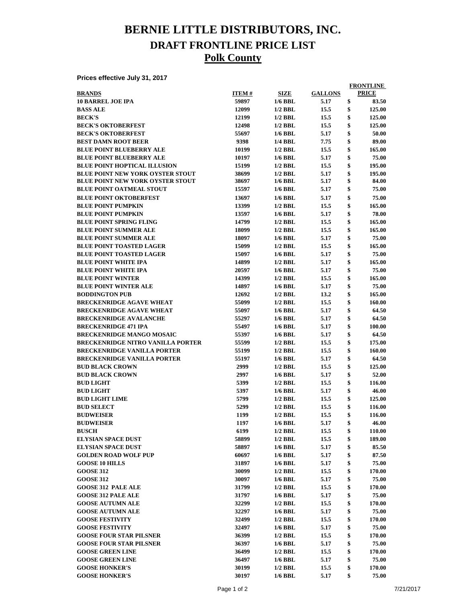## **BERNIE LITTLE DISTRIBUTORS, INC. DRAFT FRONTLINE PRICE LIST Polk County**

**Prices effective July 31, 2017**

|                                          |              |                |                | <b>FRONTLINE</b> |
|------------------------------------------|--------------|----------------|----------------|------------------|
| <b>BRANDS</b>                            | <b>ITEM#</b> | <b>SIZE</b>    | <b>GALLONS</b> | <b>PRICE</b>     |
| <b>10 BARREL JOE IPA</b>                 | 59897        | $1/6$ BBL      | 5.17           | \$<br>83.50      |
| <b>BASS ALE</b>                          | 12099        | $1/2$ BBL      | 15.5           | \$<br>125.00     |
| <b>BECK'S</b>                            | 12199        | $1/2$ BBL      | 15.5           | \$<br>125.00     |
| <b>BECK'S OKTOBERFEST</b>                | 12498        | $1/2$ BBL      | 15.5           | \$<br>125.00     |
| <b>BECK'S OKTOBERFEST</b>                | 55697        | $1/6$ BBL      | 5.17           | \$<br>50.00      |
| <b>BEST DAMN ROOT BEER</b>               | 9398         | 1/4 BBL        | 7.75           | \$<br>89.00      |
| <b>BLUE POINT BLUEBERRY ALE</b>          | 10199        | $1/2$ BBL      | 15.5           | \$<br>165.00     |
| <b>BLUE POINT BLUEBERRY ALE</b>          | 10197        | $1/6$ BBL      | 5.17           | \$<br>75.00      |
| <b>BLUE POINT HOPTICAL ILLUSION</b>      | 15199        | $1/2$ BBL      | 15.5           | \$<br>195.00     |
| <b>BLUE POINT NEW YORK OYSTER STOUT</b>  | 38699        | $1/2$ BBL      | 5.17           | \$<br>195.00     |
| <b>BLUE POINT NEW YORK OYSTER STOUT</b>  | 38697        | $1/6$ BBL      | 5.17           | \$<br>84.00      |
| <b>BLUE POINT OATMEAL STOUT</b>          | 15597        | $1/6$ BBL      | 5.17           | \$<br>75.00      |
| <b>BLUE POINT OKTOBERFEST</b>            | 13697        | $1/6$ BBL      | 5.17           | \$<br>75.00      |
| <b>BLUE POINT PUMPKIN</b>                | 13399        | $1/2$ BBL      | 15.5           | \$<br>165.00     |
| <b>BLUE POINT PUMPKIN</b>                | 13597        | $1/6$ BBL      | 5.17           | \$<br>78.00      |
| <b>BLUE POINT SPRING FLING</b>           | 14799        | $1/2$ BBL      | 15.5           | \$<br>165.00     |
| <b>BLUE POINT SUMMER ALE</b>             | 18099        | $1/2$ BBL      | 15.5           | \$<br>165.00     |
| <b>BLUE POINT SUMMER ALE</b>             | 18097        | $1/6$ BBL      | 5.17           | \$<br>75.00      |
| <b>BLUE POINT TOASTED LAGER</b>          | 15099        | $1/2$ BBL      | 15.5           | \$<br>165.00     |
| <b>BLUE POINT TOASTED LAGER</b>          | 15097        | $1/6$ BBL      | 5.17           | \$<br>75.00      |
| <b>BLUE POINT WHITE IPA</b>              | 14899        | $1/2$ BBL      | 5.17           | \$<br>165.00     |
| <b>BLUE POINT WHITE IPA</b>              | 20597        | $1/6$ BBL      | 5.17           | \$<br>75.00      |
| <b>BLUE POINT WINTER</b>                 | 14399        | $1/2$ BBL      | 15.5           | \$<br>165.00     |
| <b>BLUE POINT WINTER ALE</b>             | 14897        | $1/6$ BBL      | 5.17           | \$<br>75.00      |
| <b>BODDINGTON PUB</b>                    | 12692        | $1/2$ BBL      | 13.2           | \$<br>165.00     |
| <b>BRECKENRIDGE AGAVE WHEAT</b>          | 55099        | $1/2$ BBL      | 15.5           | \$<br>160.00     |
| <b>BRECKENRIDGE AGAVE WHEAT</b>          | 55097        | $1/6$ BBL      |                | \$<br>64.50      |
|                                          |              |                | 5.17           | \$               |
| <b>BRECKENRIDGE AVALANCHE</b>            | 55297        | $1/6$ BBL      | 5.17           | \$<br>64.50      |
| <b>BRECKENRIDGE 471 IPA</b>              | 55497        | $1/6$ BBL      | 5.17           | 100.00           |
| <b>BRECKENRIDGE MANGO MOSAIC</b>         | 55397        | $1/6$ BBL      | 5.17           | \$<br>64.50      |
| <b>BRECKENRIDGE NITRO VANILLA PORTER</b> | 55599        | $1/2$ BBL      | 15.5           | \$<br>175.00     |
| <b>BRECKENRIDGE VANILLA PORTER</b>       | 55199        | $1/2$ BBL      | 15.5           | \$<br>160.00     |
| <b>BRECKENRIDGE VANILLA PORTER</b>       | 55197        | $1/6$ BBL      | 5.17           | \$<br>64.50      |
| <b>BUD BLACK CROWN</b>                   | 2999         | $1/2$ BBL      | 15.5           | \$<br>125.00     |
| <b>BUD BLACK CROWN</b>                   | 2997         | $1/6$ BBL      | 5.17           | \$<br>52.00      |
| <b>BUD LIGHT</b>                         | 5399         | $1/2$ BBL      | 15.5           | \$<br>116.00     |
| <b>BUD LIGHT</b>                         | 5397         | $1/6$ BBL      | 5.17           | \$<br>46.00      |
| <b>BUD LIGHT LIME</b>                    | 5799         | $1/2$ BBL      | 15.5           | \$<br>125.00     |
| <b>BUD SELECT</b>                        | 5299         | $1/2$ BBL      | 15.5           | \$<br>116.00     |
| <b>BUDWEISER</b>                         | 1199         | $1/2$ BBL      | 15.5           | \$<br>116.00     |
| <b>BUDWEISER</b>                         | 1197         | 1/6 BBL        | 5.17           | 46.00            |
| <b>BUSCH</b>                             | 6199         | $1/2$ BBL      | 15.5           | \$<br>110.00     |
| <b>ELYSIAN SPACE DUST</b>                | 58899        | $1/2$ BBL      | 15.5           | \$<br>189.00     |
| <b>ELYSIAN SPACE DUST</b>                | 58897        | <b>1/6 BBL</b> | 5.17           | \$<br>85.50      |
| <b>GOLDEN ROAD WOLF PUP</b>              | 60697        | $1/6$ BBL      | 5.17           | \$<br>87.50      |
| <b>GOOSE 10 HILLS</b>                    | 31897        | <b>1/6 BBL</b> | 5.17           | \$<br>75.00      |
| <b>GOOSE 312</b>                         | 30099        | $1/2$ BBL      | 15.5           | \$<br>170.00     |
| <b>GOOSE 312</b>                         | 30097        | 1/6 BBL        | 5.17           | \$<br>75.00      |
| <b>GOOSE 312 PALE ALE</b>                | 31799        | $1/2$ BBL      | 15.5           | \$<br>170.00     |
| <b>GOOSE 312 PALE ALE</b>                | 31797        | $1/6$ BBL      | 5.17           | \$<br>75.00      |
| <b>GOOSE AUTUMN ALE</b>                  | 32299        | $1/2$ BBL      | 15.5           | \$<br>170.00     |
| <b>GOOSE AUTUMN ALE</b>                  | 32297        | $1/6$ BBL      | 5.17           | \$<br>75.00      |
| <b>GOOSE FESTIVITY</b>                   | 32499        | $1/2$ BBL      | 15.5           | \$<br>170.00     |
| <b>GOOSE FESTIVITY</b>                   | 32497        | $1/6$ BBL      | 5.17           | \$<br>75.00      |
| <b>GOOSE FOUR STAR PILSNER</b>           | 36399        | $1/2$ BBL      | 15.5           | \$<br>170.00     |
| <b>GOOSE FOUR STAR PILSNER</b>           | 36397        | 1/6 BBL        | 5.17           | \$<br>75.00      |
| <b>GOOSE GREEN LINE</b>                  | 36499        | $1/2$ BBL      | 15.5           | \$<br>170.00     |
| <b>GOOSE GREEN LINE</b>                  | 36497        | $1/6$ BBL      | 5.17           | \$<br>75.00      |
| <b>GOOSE HONKER'S</b>                    | 30199        | $1/2$ BBL      | 15.5           | \$<br>170.00     |
| <b>GOOSE HONKER'S</b>                    | 30197        | 1/6 BBL        | 5.17           | \$<br>75.00      |
|                                          |              |                |                |                  |